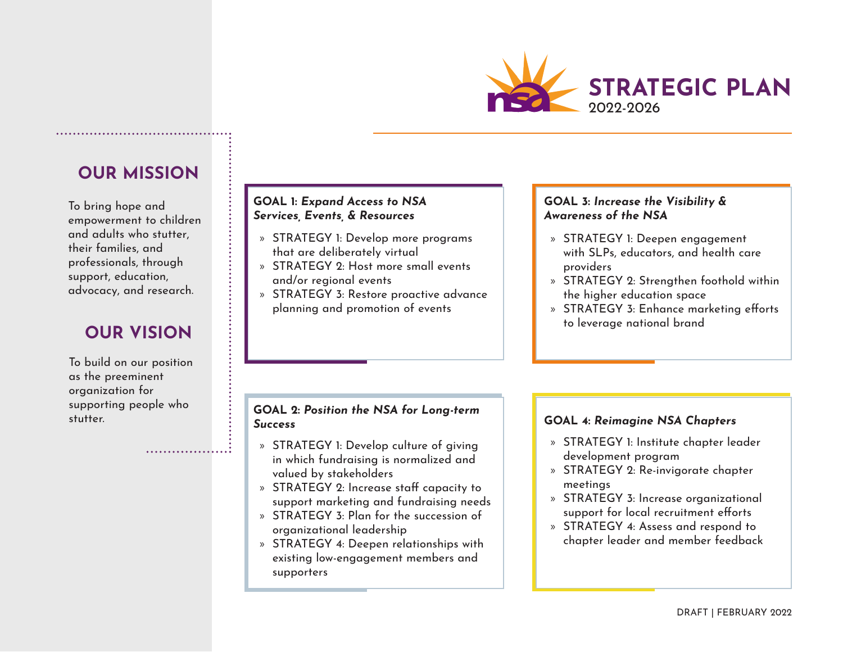

## **OUR MISSION**

To bring hope and empowerment to children and adults who stutter, their families, and professionals, through support, education, advocacy, and research.

# **OUR VISION**

To build on our position as the preeminent organization for supporting people who stutter.

. . . . . . . . . . . . . . . . . .

### **GOAL 1:** *Expand Access to NSA Services, Events, & Resources*

- » STRATEGY 1: Develop more programs that are deliberately virtual
- » STRATEGY 2: Host more small events and/or regional events
- » STRATEGY 3: Restore proactive advance planning and promotion of events

#### **GOAL 2:** *Position the NSA for Long-term Success*

- » STRATEGY 1: Develop culture of giving in which fundraising is normalized and valued by stakeholders
- » STRATEGY 2: Increase staff capacity to support marketing and fundraising needs
- » STRATEGY 3: Plan for the succession of organizational leadership
- » STRATEGY 4: Deepen relationships with existing low-engagement members and supporters

### **GOAL 3:** *Increase the Visibility & Awareness of the NSA*

- » STRATEGY 1: Deepen engagement with SLPs, educators, and health care providers
- » STRATEGY 2: Strengthen foothold within the higher education space
- » STRATEGY 3: Enhance marketing efforts to leverage national brand

#### **GOAL 4:** *Reimagine NSA Chapters*

- » STRATEGY 1: Institute chapter leader development program
- » STRATEGY 2: Re-invigorate chapter meetings
- » STRATEGY 3: Increase organizational support for local recruitment efforts
- » STRATEGY 4: Assess and respond to chapter leader and member feedback